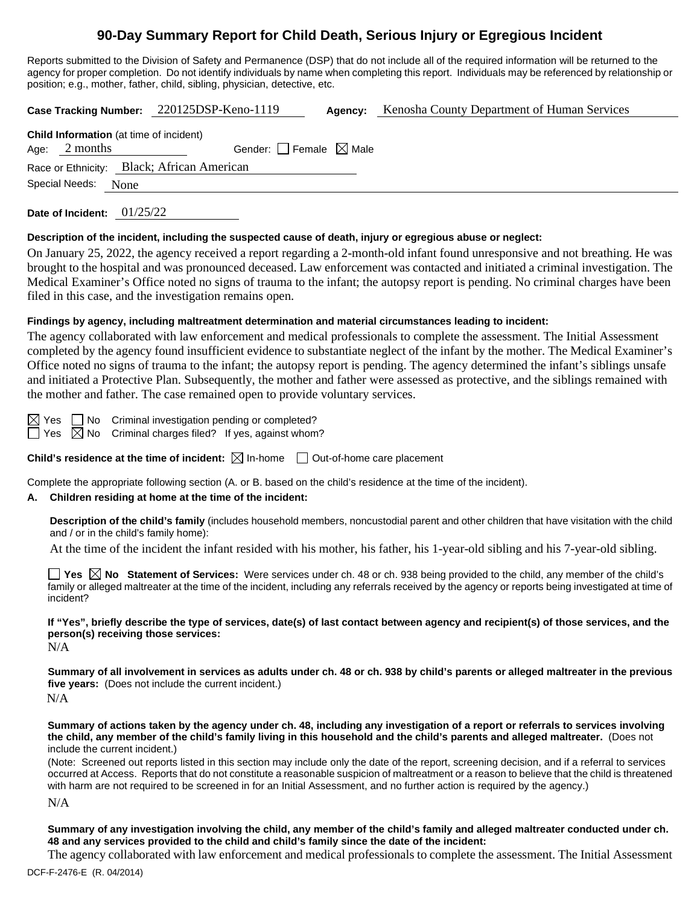# **90-Day Summary Report for Child Death, Serious Injury or Egregious Incident**

Reports submitted to the Division of Safety and Permanence (DSP) that do not include all of the required information will be returned to the agency for proper completion. Do not identify individuals by name when completing this report. Individuals may be referenced by relationship or position; e.g., mother, father, child, sibling, physician, detective, etc.

**Case Tracking Number:** 220125DSP-Keno-1119 **Agency:** Kenosha County Department of Human Services

| <b>Child Information</b> (at time of incident)            |  |  |  |  |  |
|-----------------------------------------------------------|--|--|--|--|--|
| Gender: $\Box$ Female $\boxtimes$ Male<br>Age: $2$ months |  |  |  |  |  |
| Race or Ethnicity: Black; African American                |  |  |  |  |  |
| Special Needs:<br>None                                    |  |  |  |  |  |

**Date of Incident:** 01/25/22

#### **Description of the incident, including the suspected cause of death, injury or egregious abuse or neglect:**

On January 25, 2022, the agency received a report regarding a 2-month-old infant found unresponsive and not breathing. He was brought to the hospital and was pronounced deceased. Law enforcement was contacted and initiated a criminal investigation. The Medical Examiner's Office noted no signs of trauma to the infant; the autopsy report is pending. No criminal charges have been filed in this case, and the investigation remains open.

### **Findings by agency, including maltreatment determination and material circumstances leading to incident:**

The agency collaborated with law enforcement and medical professionals to complete the assessment. The Initial Assessment completed by the agency found insufficient evidence to substantiate neglect of the infant by the mother. The Medical Examiner's Office noted no signs of trauma to the infant; the autopsy report is pending. The agency determined the infant's siblings unsafe and initiated a Protective Plan. Subsequently, the mother and father were assessed as protective, and the siblings remained with the mother and father. The case remained open to provide voluntary services.

 $\boxtimes$  Yes  $\Box$  No Criminal investigation pending or completed?  $\Box$  Yes  $\boxtimes$  No Criminal charges filed? If yes, against whom?

**Child's residence at the time of incident:**  $\boxtimes$  In-home  $\Box$  Out-of-home care placement

Complete the appropriate following section (A. or B. based on the child's residence at the time of the incident).

### **A. Children residing at home at the time of the incident:**

**Description of the child's family** (includes household members, noncustodial parent and other children that have visitation with the child and / or in the child's family home):

At the time of the incident the infant resided with his mother, his father, his 1-year-old sibling and his 7-year-old sibling.

**Yes**  $\boxtimes$  **No** Statement of Services: Were services under ch. 48 or ch. 938 being provided to the child, any member of the child's family or alleged maltreater at the time of the incident, including any referrals received by the agency or reports being investigated at time of incident?

**If "Yes", briefly describe the type of services, date(s) of last contact between agency and recipient(s) of those services, and the person(s) receiving those services:**

N/A

**Summary of all involvement in services as adults under ch. 48 or ch. 938 by child's parents or alleged maltreater in the previous five years:** (Does not include the current incident.) N/A

**Summary of actions taken by the agency under ch. 48, including any investigation of a report or referrals to services involving the child, any member of the child's family living in this household and the child's parents and alleged maltreater.** (Does not include the current incident.)

(Note: Screened out reports listed in this section may include only the date of the report, screening decision, and if a referral to services occurred at Access. Reports that do not constitute a reasonable suspicion of maltreatment or a reason to believe that the child is threatened with harm are not required to be screened in for an Initial Assessment, and no further action is required by the agency.)

N/A

**Summary of any investigation involving the child, any member of the child's family and alleged maltreater conducted under ch. 48 and any services provided to the child and child's family since the date of the incident:**

The agency collaborated with law enforcement and medical professionals to complete the assessment. The Initial Assessment